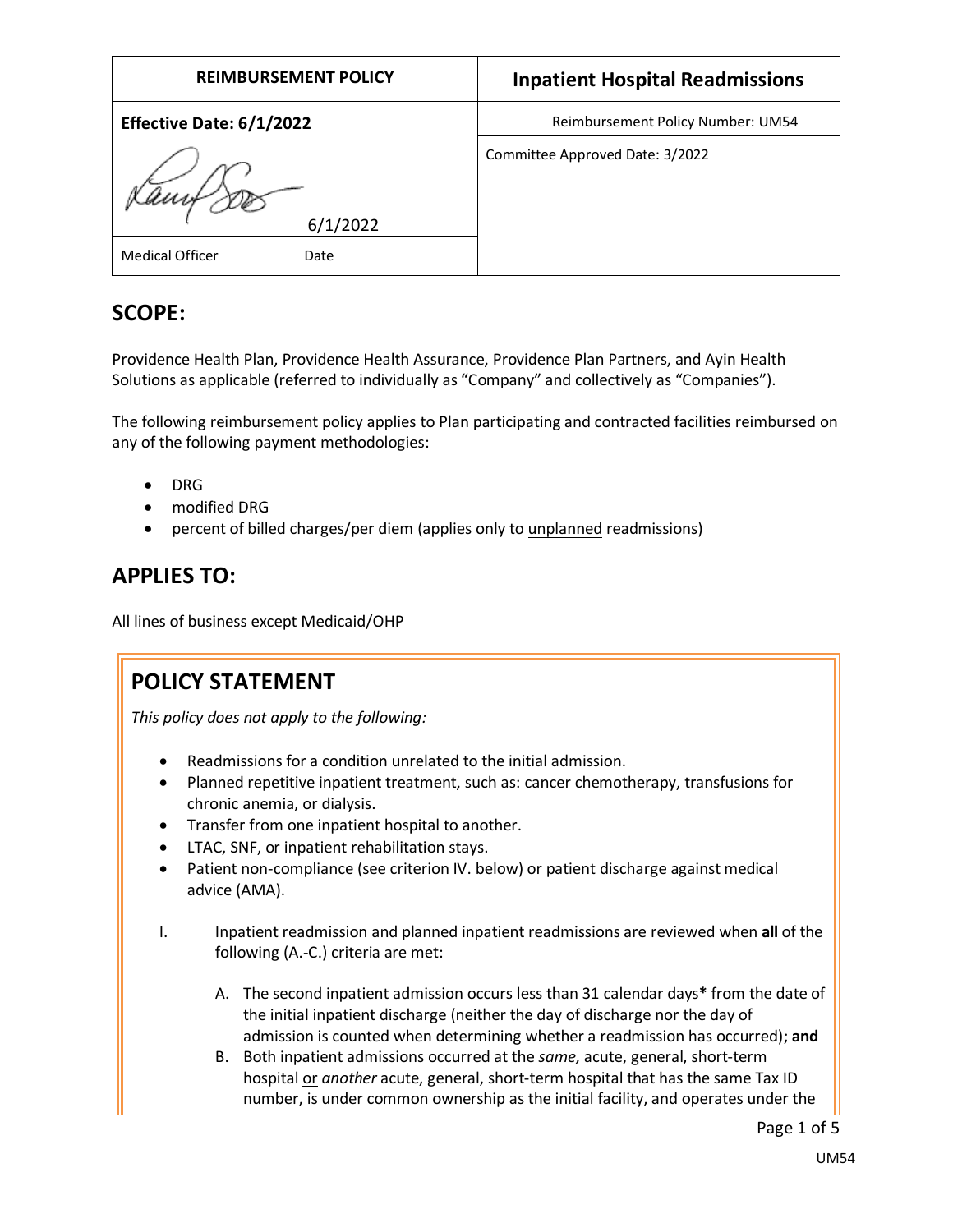| <b>REIMBURSEMENT POLICY</b> | <b>Inpatient Hospital Readmissions</b> |
|-----------------------------|----------------------------------------|
| Effective Date: 6/1/2022    | Reimbursement Policy Number: UM54      |
| Kamf                        | Committee Approved Date: 3/2022        |
| 6/1/2022                    |                                        |
| Medical Officer<br>Date     |                                        |

# **SCOPE:**

Providence Health Plan, Providence Health Assurance, Providence Plan Partners, and Ayin Health Solutions as applicable (referred to individually as "Company" and collectively as "Companies").

The following reimbursement policy applies to Plan participating and contracted facilities reimbursed on any of the following payment methodologies:

- DRG
- modified DRG
- percent of billed charges/per diem (applies only to unplanned readmissions)

# **APPLIES TO:**

All lines of business except Medicaid/OHP

# **POLICY STATEMENT**

*This policy does not apply to the following:*

- Readmissions for a condition unrelated to the initial admission.
- Planned repetitive inpatient treatment, such as: cancer chemotherapy, transfusions for chronic anemia, or dialysis.
- Transfer from one inpatient hospital to another.
- LTAC, SNF, or inpatient rehabilitation stays.
- Patient non-compliance (see criterion IV. below) or patient discharge against medical advice (AMA).
- I. Inpatient readmission and planned inpatient readmissions are reviewed when **all** of the following (A.-C.) criteria are met:
	- A. The second inpatient admission occurs less than 31 calendar days**\*** from the date of the initial inpatient discharge (neither the day of discharge nor the day of admission is counted when determining whether a readmission has occurred); **and**
	- B. Both inpatient admissions occurred at the *same,* acute, general, short-term hospital or *another* acute, general, short-term hospital that has the same Tax ID number, is under common ownership as the initial facility, and operates under the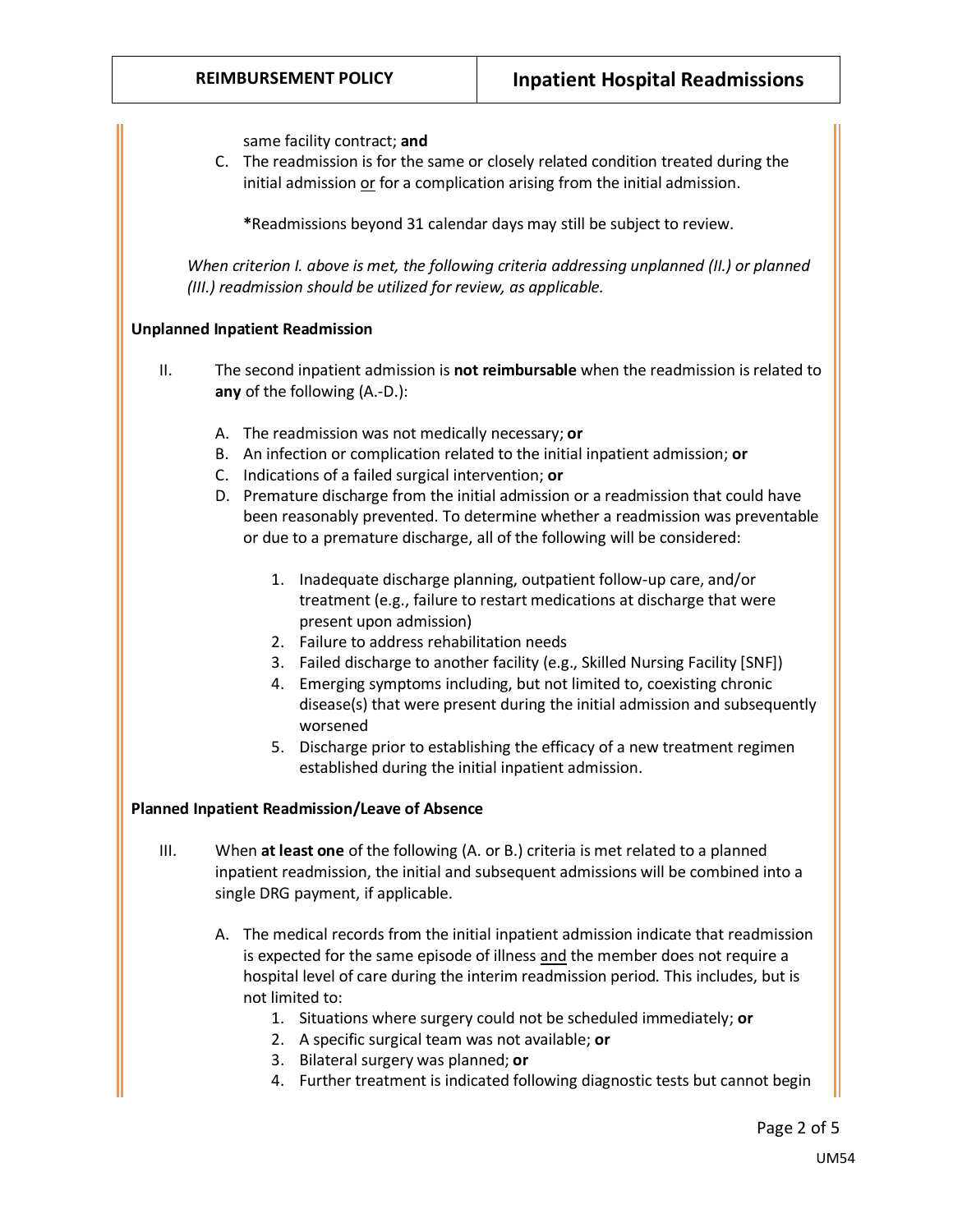same facility contract; **and**

C. The readmission is for the same or closely related condition treated during the initial admission or for a complication arising from the initial admission.

**\***Readmissions beyond 31 calendar days may still be subject to review.

*When criterion I. above is met, the following criteria addressing unplanned (II.) or planned (III.) readmission should be utilized for review, as applicable.*

#### **Unplanned Inpatient Readmission**

- II. The second inpatient admission is **not reimbursable** when the readmission is related to **any** of the following (A.-D.):
	- A. The readmission was not medically necessary; **or**
	- B. An infection or complication related to the initial inpatient admission; **or**
	- C. Indications of a failed surgical intervention; **or**
	- D. Premature discharge from the initial admission or a readmission that could have been reasonably prevented. To determine whether a readmission was preventable or due to a premature discharge, all of the following will be considered:
		- 1. Inadequate discharge planning, outpatient follow-up care, and/or treatment (e.g., failure to restart medications at discharge that were present upon admission)
		- 2. Failure to address rehabilitation needs
		- 3. Failed discharge to another facility (e.g., Skilled Nursing Facility [SNF])
		- 4. Emerging symptoms including, but not limited to, coexisting chronic disease(s) that were present during the initial admission and subsequently worsened
		- 5. Discharge prior to establishing the efficacy of a new treatment regimen established during the initial inpatient admission.

#### **Planned Inpatient Readmission/Leave of Absence**

- III. When **at least one** of the following (A. or B.) criteria is met related to a planned inpatient readmission, the initial and subsequent admissions will be combined into a single DRG payment, if applicable.
	- A. The medical records from the initial inpatient admission indicate that readmission is expected for the same episode of illness and the member does not require a hospital level of care during the interim readmission period. This includes, but is not limited to:
		- 1. Situations where surgery could not be scheduled immediately; **or**
		- 2. A specific surgical team was not available; **or**
		- 3. Bilateral surgery was planned; **or**
		- 4. Further treatment is indicated following diagnostic tests but cannot begin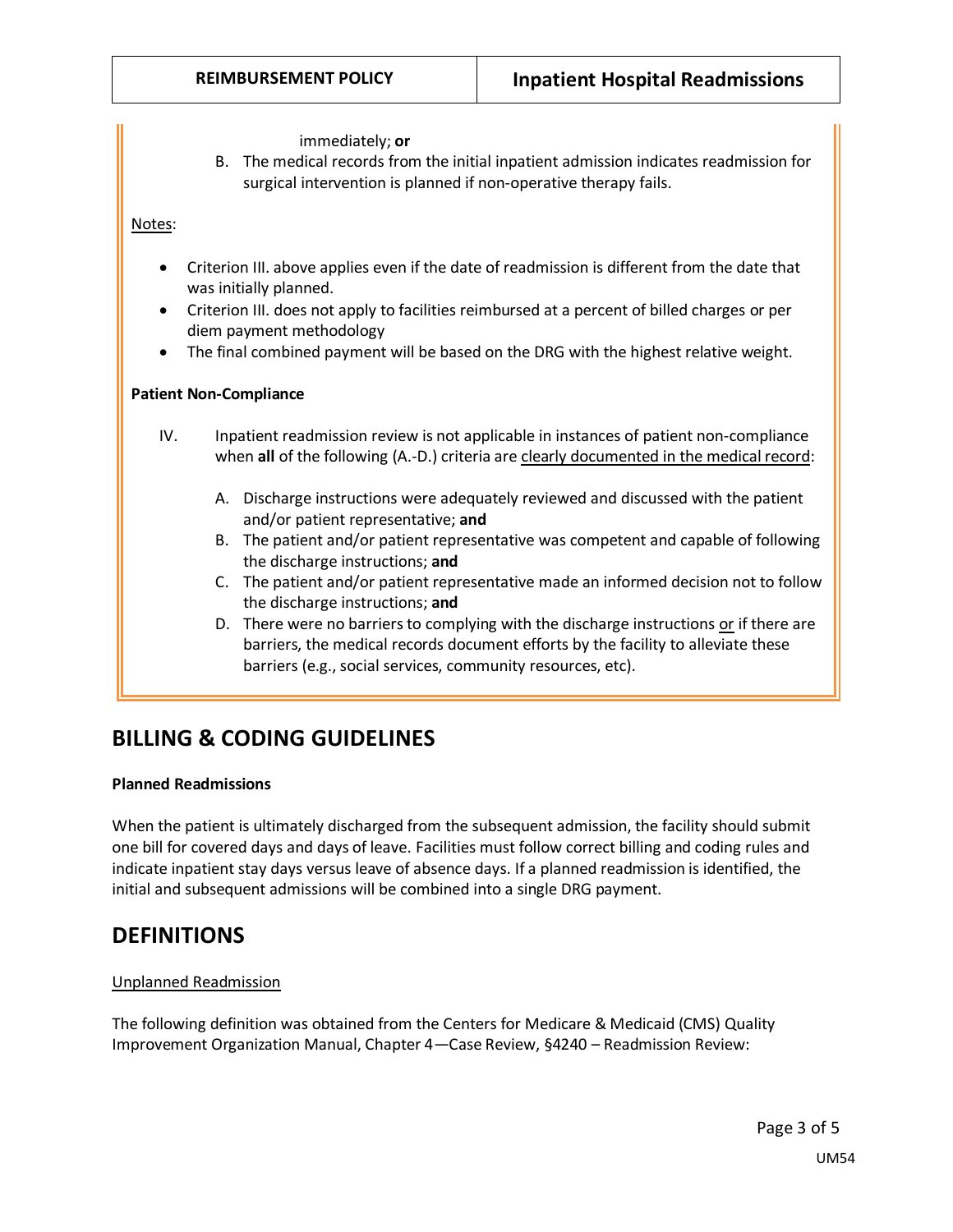immediately; **or**

B. The medical records from the initial inpatient admission indicates readmission for surgical intervention is planned if non-operative therapy fails.

Notes:

- Criterion III. above applies even if the date of readmission is different from the date that was initially planned.
- Criterion III. does not apply to facilities reimbursed at a percent of billed charges or per diem payment methodology
- The final combined payment will be based on the DRG with the highest relative weight.

#### **Patient Non-Compliance**

- IV. Inpatient readmission review is not applicable in instances of patient non-compliance when **all** of the following (A.-D.) criteria are clearly documented in the medical record:
	- A. Discharge instructions were adequately reviewed and discussed with the patient and/or patient representative; **and**
	- B. The patient and/or patient representative was competent and capable of following the discharge instructions; **and**
	- C. The patient and/or patient representative made an informed decision not to follow the discharge instructions; **and**
	- D. There were no barriers to complying with the discharge instructions or if there are barriers, the medical records document efforts by the facility to alleviate these barriers (e.g., social services, community resources, etc).

## **BILLING & CODING GUIDELINES**

#### **Planned Readmissions**

When the patient is ultimately discharged from the subsequent admission, the facility should submit one bill for covered days and days of leave. Facilities must follow correct billing and coding rules and indicate inpatient stay days versus leave of absence days. If a planned readmission is identified, the initial and subsequent admissions will be combined into a single DRG payment.

### **DEFINITIONS**

#### Unplanned Readmission

The following definition was obtained from the Centers for Medicare & Medicaid (CMS) Quality Improvement Organization Manual, Chapter 4—Case Review, §4240 – Readmission Review: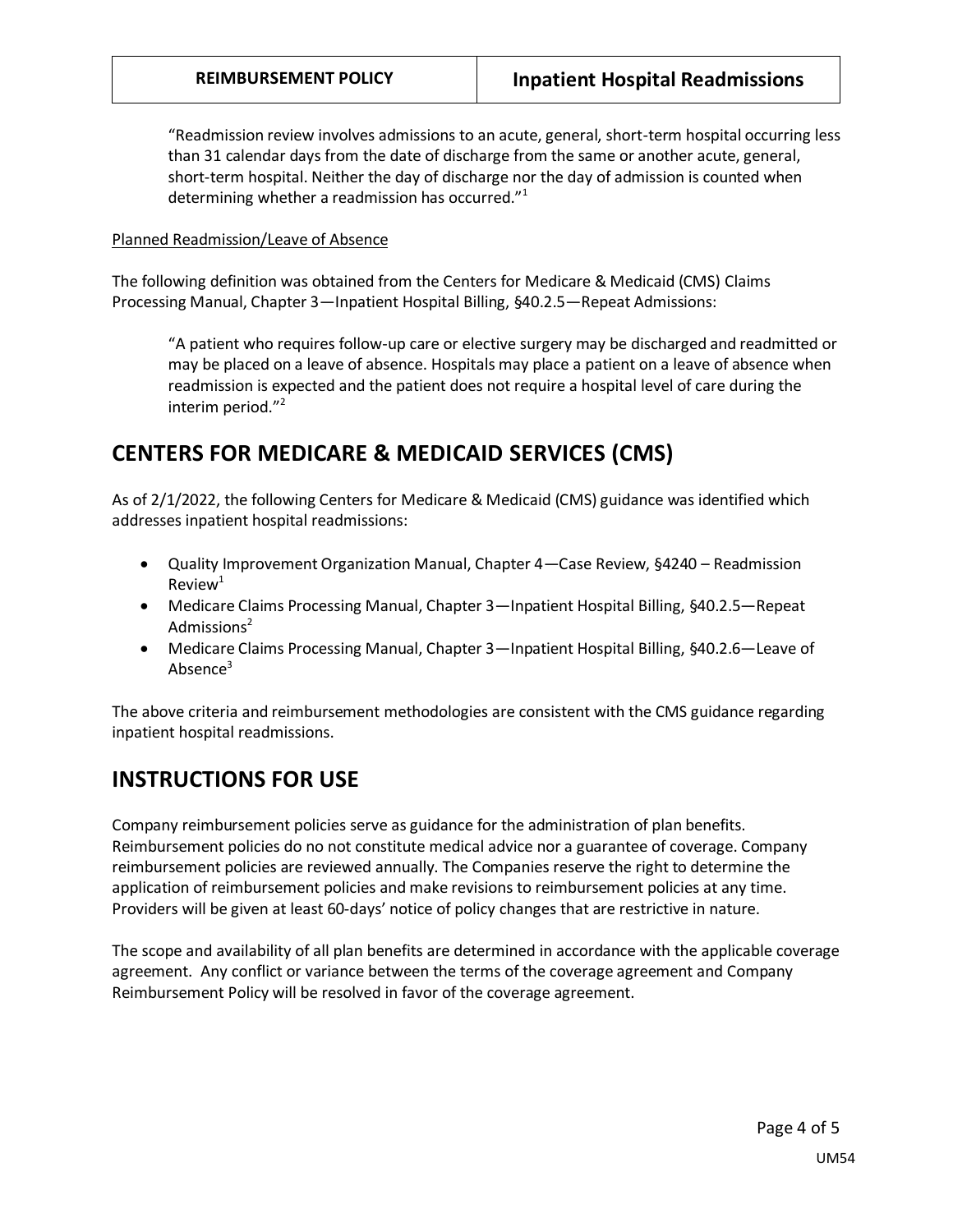"Readmission review involves admissions to an acute, general, short-term hospital occurring less than 31 calendar days from the date of discharge from the same or another acute, general, short-term hospital. Neither the day of discharge nor the day of admission is counted when determining whether a readmission has occurred."<sup>1</sup>

#### Planned Readmission/Leave of Absence

The following definition was obtained from the Centers for Medicare & Medicaid (CMS) Claims Processing Manual, Chapter 3—Inpatient Hospital Billing, §40.2.5—Repeat Admissions:

"A patient who requires follow-up care or elective surgery may be discharged and readmitted or may be placed on a leave of absence. Hospitals may place a patient on a leave of absence when readmission is expected and the patient does not require a hospital level of care during the interim period."<sup>2</sup>

### **CENTERS FOR MEDICARE & MEDICAID SERVICES (CMS)**

As of 2/1/2022, the following Centers for Medicare & Medicaid (CMS) guidance was identified which addresses inpatient hospital readmissions:

- Quality Improvement Organization Manual, Chapter 4—Case Review, §4240 Readmission  $Review<sup>1</sup>$
- Medicare Claims Processing Manual, Chapter 3—Inpatient Hospital Billing, §40.2.5—Repeat Admissions $2$
- Medicare Claims Processing Manual, Chapter 3—Inpatient Hospital Billing, §40.2.6—Leave of Absence<sup>3</sup>

The above criteria and reimbursement methodologies are consistent with the CMS guidance regarding inpatient hospital readmissions.

## **INSTRUCTIONS FOR USE**

Company reimbursement policies serve as guidance for the administration of plan benefits. Reimbursement policies do no not constitute medical advice nor a guarantee of coverage. Company reimbursement policies are reviewed annually. The Companies reserve the right to determine the application of reimbursement policies and make revisions to reimbursement policies at any time. Providers will be given at least 60-days' notice of policy changes that are restrictive in nature.

The scope and availability of all plan benefits are determined in accordance with the applicable coverage agreement. Any conflict or variance between the terms of the coverage agreement and Company Reimbursement Policy will be resolved in favor of the coverage agreement.